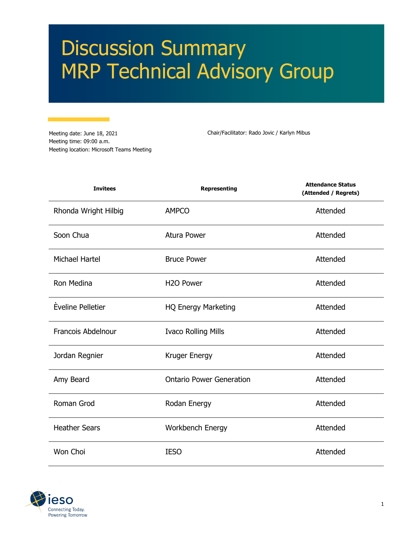# Discussion Summary MRP Technical Advisory Group

Meeting date: June 18, 2021 Meeting time: 09:00 a.m. Meeting location: Microsoft Teams Meeting

Chair/Facilitator: Rado Jovic / Karlyn Mibus

| <b>Invitees</b>      | <b>Representing</b>             | <b>Attendance Status</b><br>(Attended / Regrets) |
|----------------------|---------------------------------|--------------------------------------------------|
| Rhonda Wright Hilbig | <b>AMPCO</b>                    | Attended                                         |
| Soon Chua            | <b>Atura Power</b>              | Attended                                         |
| Michael Hartel       | <b>Bruce Power</b>              | Attended                                         |
| Ron Medina           | H <sub>2</sub> O Power          | Attended                                         |
| Èveline Pelletier    | <b>HQ Energy Marketing</b>      | Attended                                         |
| Francois Abdelnour   | <b>Ivaco Rolling Mills</b>      | Attended                                         |
| Jordan Regnier       | Kruger Energy                   | Attended                                         |
| Amy Beard            | <b>Ontario Power Generation</b> | Attended                                         |
| Roman Grod           | Rodan Energy                    | Attended                                         |
| <b>Heather Sears</b> | Workbench Energy                | Attended                                         |
| Won Choi             | <b>IESO</b>                     | Attended                                         |

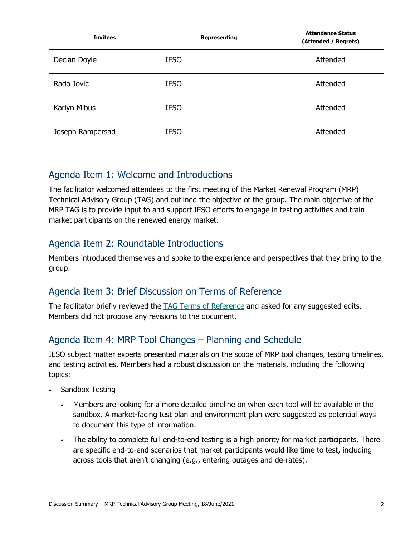| <b>Invitees</b>  |             | Representing | <b>Attendance Status</b><br>(Attended / Regrets) |
|------------------|-------------|--------------|--------------------------------------------------|
| Declan Doyle     | <b>IESO</b> |              | Attended                                         |
| Rado Jovic       | <b>IESO</b> |              | Attended                                         |
| Karlyn Mibus     | <b>IESO</b> |              | Attended                                         |
| Joseph Rampersad | <b>IESO</b> |              | Attended                                         |

## Agenda Item 1: Welcome and Introductions

The facilitator welcomed attendees to the first meeting of the Market Renewal Program (MRP) Technical Advisory Group (TAG) and outlined the objective of the group. The main objective of the MRP TAG is to provide input to and support IESO efforts to engage in testing activities and train market participants on the renewed energy market.

# Agenda Item 2: Roundtable Introductions

Members introduced themselves and spoke to the experience and perspectives that they bring to the group.

# Agenda Item 3: Brief Discussion on Terms of Reference

The facilitator briefly reviewed the [TAG Terms of Reference](https://www.ieso.ca/-/media/Files/IESO/Document-Library/engage/imrm/imrm-20200422-TAG-Terms-of-Reference.ashx) and asked for any suggested edits. Members did not propose any revisions to the document.

# Agenda Item 4: MRP Tool Changes – Planning and Schedule

IESO subject matter experts presented materials on the scope of MRP tool changes, testing timelines, and testing activities. Members had a robust discussion on the materials, including the following topics:

- Sandbox Testing
	- Members are looking for a more detailed timeline on when each tool will be available in the sandbox. A market-facing test plan and environment plan were suggested as potential ways to document this type of information.
	- The ability to complete full end-to-end testing is a high priority for market participants. There are specific end-to-end scenarios that market participants would like time to test, including across tools that aren't changing (e.g., entering outages and de-rates).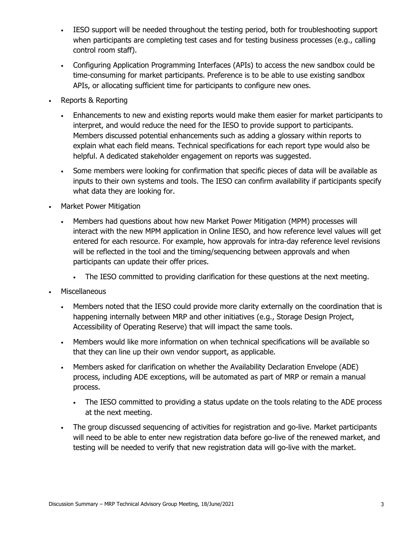- IESO support will be needed throughout the testing period, both for troubleshooting support when participants are completing test cases and for testing business processes (e.g., calling control room staff).
- Configuring Application Programming Interfaces (APIs) to access the new sandbox could be time-consuming for market participants. Preference is to be able to use existing sandbox APIs, or allocating sufficient time for participants to configure new ones.
- Reports & Reporting
	- Enhancements to new and existing reports would make them easier for market participants to interpret, and would reduce the need for the IESO to provide support to participants. Members discussed potential enhancements such as adding a glossary within reports to explain what each field means. Technical specifications for each report type would also be helpful. A dedicated stakeholder engagement on reports was suggested.
	- Some members were looking for confirmation that specific pieces of data will be available as inputs to their own systems and tools. The IESO can confirm availability if participants specify what data they are looking for.
- Market Power Mitigation
	- Members had questions about how new Market Power Mitigation (MPM) processes will interact with the new MPM application in Online IESO, and how reference level values will get entered for each resource. For example, how approvals for intra-day reference level revisions will be reflected in the tool and the timing/sequencing between approvals and when participants can update their offer prices.
		- The IESO committed to providing clarification for these questions at the next meeting.
- **Miscellaneous** 
	- Members noted that the IESO could provide more clarity externally on the coordination that is happening internally between MRP and other initiatives (e.g., Storage Design Project, Accessibility of Operating Reserve) that will impact the same tools.
	- Members would like more information on when technical specifications will be available so that they can line up their own vendor support, as applicable.
	- Members asked for clarification on whether the Availability Declaration Envelope (ADE) process, including ADE exceptions, will be automated as part of MRP or remain a manual process.
		- The IESO committed to providing a status update on the tools relating to the ADE process at the next meeting.
	- The group discussed sequencing of activities for registration and go-live. Market participants will need to be able to enter new registration data before go-live of the renewed market, and testing will be needed to verify that new registration data will go-live with the market.